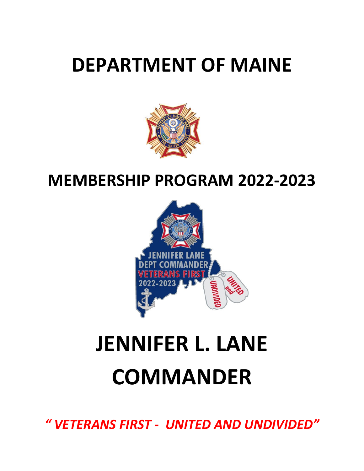# **DEPARTMENT OF MAINE**



# **MEMBERSHIP PROGRAM 2022‐2023**



# **JENNIFER L. LANE COMMANDER**

*" VETERANS FIRST ‐ UNITED AND UNDIVIDED"*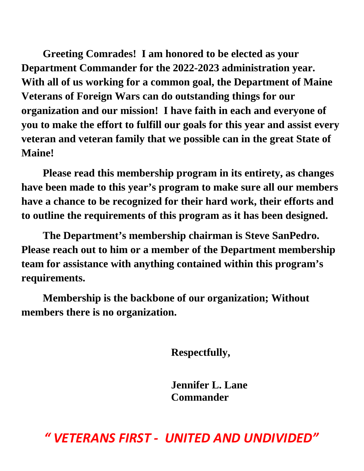**Greeting Comrades! I am honored to be elected as your Department Commander for the 2022-2023 administration year. With all of us working for a common goal, the Department of Maine Veterans of Foreign Wars can do outstanding things for our organization and our mission! I have faith in each and everyone of you to make the effort to fulfill our goals for this year and assist every veteran and veteran family that we possible can in the great State of Maine!** 

 **Please read this membership program in its entirety, as changes have been made to this year's program to make sure all our members have a chance to be recognized for their hard work, their efforts and to outline the requirements of this program as it has been designed.** 

 **The Department's membership chairman is Steve SanPedro. Please reach out to him or a member of the Department membership team for assistance with anything contained within this program's requirements.** 

 **Membership is the backbone of our organization; Without members there is no organization.** 

**Respectfully,** 

**Jennifer L. Lane Commander** 

*" VETERANS FIRST ‐ UNITED AND UNDIVIDED"*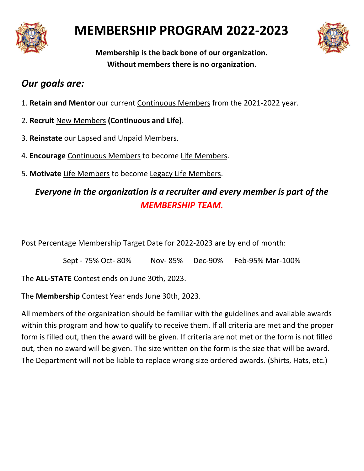

# **MEMBERSHIP PROGRAM 2022‐2023**



**Membership is the back bone of our organization. Without members there is no organization.** 

# *Our goals are:*

- 1. **Retain and Mentor** our current Continuous Members from the 2021‐2022 year.
- 2. **Recruit** New Members **(Continuous and Life)**.
- 3. **Reinstate** our Lapsed and Unpaid Members.
- 4. **Encourage** Continuous Members to become Life Members.
- 5. **Motivate** Life Members to become Legacy Life Members.

# *Everyone in the organization is a recruiter and every member is part of the MEMBERSHIP TEAM.*

Post Percentage Membership Target Date for 2022‐2023 are by end of month:

Sept ‐ 75% Oct‐ 80% Nov‐ 85% Dec‐90% Feb‐95% Mar‐100%

The **ALL‐STATE** Contest ends on June 30th, 2023.

The **Membership** Contest Year ends June 30th, 2023.

All members of the organization should be familiar with the guidelines and available awards within this program and how to qualify to receive them. If all criteria are met and the proper form is filled out, then the award will be given. If criteria are not met or the form is not filled out, then no award will be given. The size written on the form is the size that will be award. The Department will not be liable to replace wrong size ordered awards. (Shirts, Hats, etc.)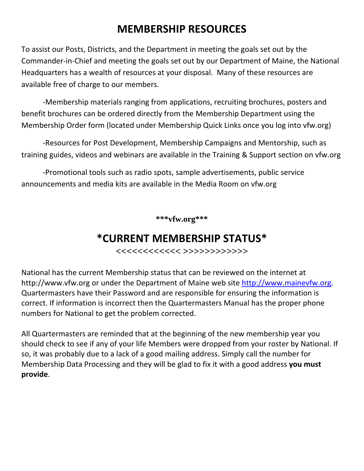# **MEMBERSHIP RESOURCES**

To assist our Posts, Districts, and the Department in meeting the goals set out by the Commander‐in‐Chief and meeting the goals set out by our Department of Maine, the National Headquarters has a wealth of resources at your disposal. Many of these resources are available free of charge to our members.

 ‐Membership materials ranging from applications, recruiting brochures, posters and benefit brochures can be ordered directly from the Membership Department using the Membership Order form (located under Membership Quick Links once you log into vfw.org)

 ‐Resources for Post Development, Membership Campaigns and Mentorship, such as training guides, videos and webinars are available in the Training & Support section on vfw.org

 ‐Promotional tools such as radio spots, sample advertisements, public service announcements and media kits are available in the Media Room on vfw.org

**\*\*\*vfw.org\*\*\*** 

# **\*CURRENT MEMBERSHIP STATUS\***

**<<<<<<<<<<<< >>>>>>>>>>>>** 

National has the current Membership status that can be reviewed on the internet at http://www.vfw.org or under the Department of Maine web site http://www.mainevfw.org. Quartermasters have their Password and are responsible for ensuring the information is correct. If information is incorrect then the Quartermasters Manual has the proper phone numbers for National to get the problem corrected.

All Quartermasters are reminded that at the beginning of the new membership year you should check to see if any of your life Members were dropped from your roster by National. If so, it was probably due to a lack of a good mailing address. Simply call the number for Membership Data Processing and they will be glad to fix it with a good address **you must provide**.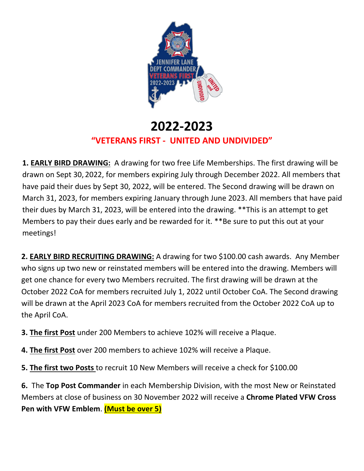

# **2022‐2023 "VETERANS FIRST ‐ UNITED AND UNDIVIDED"**

**1. EARLY BIRD DRAWING:** A drawing for two free Life Memberships. The first drawing will be drawn on Sept 30, 2022, for members expiring July through December 2022. All members that have paid their dues by Sept 30, 2022, will be entered. The Second drawing will be drawn on March 31, 2023, for members expiring January through June 2023. All members that have paid their dues by March 31, 2023, will be entered into the drawing. \*\*This is an attempt to get Members to pay their dues early and be rewarded for it. \*\*Be sure to put this out at your meetings!

**2. EARLY BIRD RECRUITING DRAWING:** A drawing for two \$100.00 cash awards. Any Member who signs up two new or reinstated members will be entered into the drawing. Members will get one chance for every two Members recruited. The first drawing will be drawn at the October 2022 CoA for members recruited July 1, 2022 until October CoA. The Second drawing will be drawn at the April 2023 CoA for members recruited from the October 2022 CoA up to the April CoA.

- **3. The first Post** under 200 Members to achieve 102% will receive a Plaque.
- **4. The first Post** over 200 members to achieve 102% will receive a Plaque.
- **5. The first two Posts** to recruit 10 New Members will receive a check for \$100.00

**6.** The **Top Post Commander** in each Membership Division, with the most New or Reinstated Members at close of business on 30 November 2022 will receive a **Chrome Plated VFW Cross Pen with VFW Emblem**. **(Must be over 5)**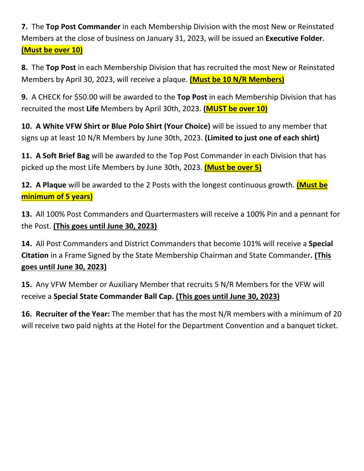**7.** The **Top Post Commander** in each Membership Division with the most New or Reinstated Members at the close of business on January 31, 2023, will be issued an **Executive Folder**. **(Must be over 10)**

**8.** The **Top Post** in each Membership Division that has recruited the most New or Reinstated Members by April 30, 2023, will receive a plaque. **(Must be 10 N/R Members)** 

**9.** A CHECK for \$50.00 will be awarded to the **Top Post** in each Membership Division that has recruited the most **Life** Members by April 30th, 2023. **(MUST be over 10)**

**10. A White VFW Shirt or Blue Polo Shirt (Your Choice)** will be issued to any member that signs up at least 10 N/R Members by June 30th, 2023. **(Limited to just one of each shirt)**

**11. A Soft Brief Bag** will be awarded to the Top Post Commander in each Division that has picked up the most Life Members by June 30th, 2023. **(Must be over 5)**

**12. A Plaque** will be awarded to the 2 Posts with the longest continuous growth. **(Must be minimum of 5 years)**

**13.** All 100% Post Commanders and Quartermasters will receive a 100% Pin and a pennant for the Post. **(This goes until June 30, 2023)**

**14.** All Post Commanders and District Commanders that become 101% will receive a **Special Citation** in a Frame Signed by the State Membership Chairman and State Commander**. (This goes until June 30, 2023)**

15. Any VFW Member or Auxiliary Member that recruits 5 N/R Members for the VFW will receive a **Special State Commander Ball Cap. (This goes until June 30, 2023)**

**16. Recruiter of the Year:** The member that has the most N/R members with a minimum of 20 will receive two paid nights at the Hotel for the Department Convention and a banquet ticket.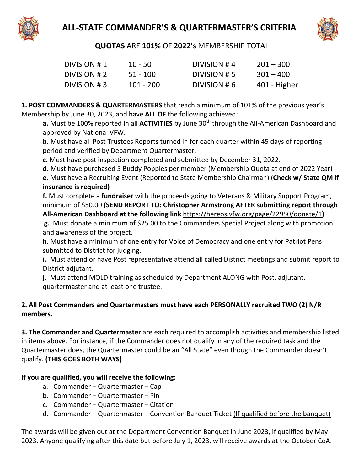



**QUOTAS** ARE **101%** OF **2022's** MEMBERSHIP TOTAL

| DIVISION #1  | $10 - 50$   | DIVISION #4  | $201 - 300$  |
|--------------|-------------|--------------|--------------|
| DIVISION # 2 | $51 - 100$  | DIVISION # 5 | $301 - 400$  |
| DIVISION #3  | $101 - 200$ | DIVISION #6  | 401 - Higher |

**1. POST COMMANDERS & QUARTERMASTERS** that reach a minimum of 101% of the previous year's Membership by June 30, 2023, and have **ALL OF** the following achieved:

**a.** Must be 100% reported in all **ACTIVITIES** by June 30<sup>th</sup> through the All-American Dashboard and approved by National VFW.

**b.** Must have all Post Trustees Reports turned in for each quarter within 45 days of reporting period and verified by Department Quartermaster.

**c.** Must have post inspection completed and submitted by December 31, 2022.

**d.** Must have purchased 5 Buddy Poppies per member (Membership Quota at end of 2022 Year) **e.** Must have a Recruiting Event (Reported to State Membership Chairman) (**Check w/ State QM if insurance is required)** 

**f.** Must complete a **fundraiser** with the proceeds going to Veterans & Military Support Program, minimum of \$50.00 **(SEND REPORT TO: Christopher Armstrong AFTER submitting report through All‐American Dashboard at the following link** https://hereos.vfw.org/page/22950/donate/1**)**

**g.** Must donate a minimum of \$25.00 to the Commanders Special Project along with promotion and awareness of the project.

**h**. Must have a minimum of one entry for Voice of Democracy and one entry for Patriot Pens submitted to District for judging.

**i.** Must attend or have Post representative attend all called District meetings and submit report to District adjutant.

**j.** Must attend MOLD training as scheduled by Department ALONG with Post, adjutant, quartermaster and at least one trustee.

#### **2. All Post Commanders and Quartermasters must have each PERSONALLY recruited TWO (2) N/R members.**

**3. The Commander and Quartermaster** are each required to accomplish activities and membership listed in items above. For instance, if the Commander does not qualify in any of the required task and the Quartermaster does, the Quartermaster could be an "All State" even though the Commander doesn't qualify. **(THIS GOES BOTH WAYS)**

#### **If you are qualified, you will receive the following:**

- a. Commander Quartermaster Cap
- b. Commander Quartermaster Pin
- c. Commander Quartermaster Citation
- d. Commander Quartermaster Convention Banquet Ticket (If qualified before the banquet)

The awards will be given out at the Department Convention Banquet in June 2023, if qualified by May 2023. Anyone qualifying after this date but before July 1, 2023, will receive awards at the October CoA.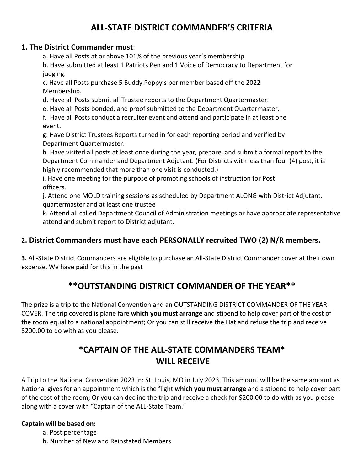# **ALL‐STATE DISTRICT COMMANDER'S CRITERIA**

#### **1. The District Commander must**:

a. Have all Posts at or above 101% of the previous year's membership.

b. Have submitted at least 1 Patriots Pen and 1 Voice of Democracy to Department for judging.

c. Have all Posts purchase 5 Buddy Poppy's per member based off the 2022 Membership.

d. Have all Posts submit all Trustee reports to the Department Quartermaster.

e. Have all Posts bonded, and proof submitted to the Department Quartermaster.

f. Have all Posts conduct a recruiter event and attend and participate in at least one event.

g. Have District Trustees Reports turned in for each reporting period and verified by Department Quartermaster.

h. Have visited all posts at least once during the year, prepare, and submit a formal report to the Department Commander and Department Adjutant. (For Districts with less than four (4) post, it is highly recommended that more than one visit is conducted.)

i. Have one meeting for the purpose of promoting schools of instruction for Post officers.

j. Attend one MOLD training sessions as scheduled by Department ALONG with District Adjutant, quartermaster and at least one trustee

k. Attend all called Department Council of Administration meetings or have appropriate representative attend and submit report to District adjutant.

#### **2. District Commanders must have each PERSONALLY recruited TWO (2) N/R members.**

**3.** All‐State District Commanders are eligible to purchase an All‐State District Commander cover at their own expense. We have paid for this in the past

### **\*\*OUTSTANDING DISTRICT COMMANDER OF THE YEAR\*\***

The prize is a trip to the National Convention and an OUTSTANDING DISTRICT COMMANDER OF THE YEAR COVER. The trip covered is plane fare **which you must arrange** and stipend to help cover part of the cost of the room equal to a national appointment; Or you can still receive the Hat and refuse the trip and receive \$200.00 to do with as you please.

## **\*CAPTAIN OF THE ALL‐STATE COMMANDERS TEAM\* WILL RECEIVE**

A Trip to the National Convention 2023 in: St. Louis, MO in July 2023. This amount will be the same amount as National gives for an appointment which is the flight **which you must arrange** and a stipend to help cover part of the cost of the room; Or you can decline the trip and receive a check for \$200.00 to do with as you please along with a cover with "Captain of the ALL‐State Team."

#### **Captain will be based on:**

a. Post percentage

b. Number of New and Reinstated Members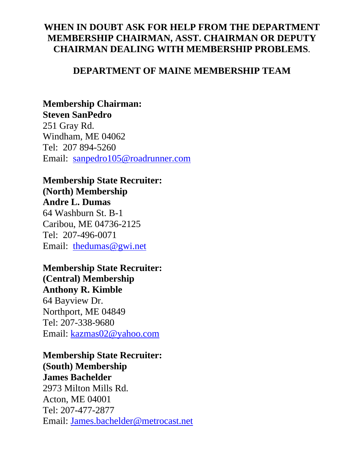## **WHEN IN DOUBT ASK FOR HELP FROM THE DEPARTMENT MEMBERSHIP CHAIRMAN, ASST. CHAIRMAN OR DEPUTY CHAIRMAN DEALING WITH MEMBERSHIP PROBLEMS**.

#### **DEPARTMENT OF MAINE MEMBERSHIP TEAM**

### **Membership Chairman: Steven SanPedro**

251 Gray Rd. Windham, ME 04062 Tel: 207 894-5260 Email: sanpedro105@roadrunner.com

#### **Membership State Recruiter: (North) Membership Andre L. Dumas**

64 Washburn St. B-1 Caribou, ME 04736-2125 Tel: 207-496-0071 Email: thedumas@gwi.net

## **Membership State Recruiter:**

**(Central) Membership Anthony R. Kimble**  64 Bayview Dr. Northport, ME 04849

Tel: 207-338-9680 Email: kazmas02@yahoo.com

# **Membership State Recruiter:**

**(South) Membership James Bachelder** 

2973 Milton Mills Rd. Acton, ME 04001 Tel: 207-477-2877 Email: James.bachelder@metrocast.net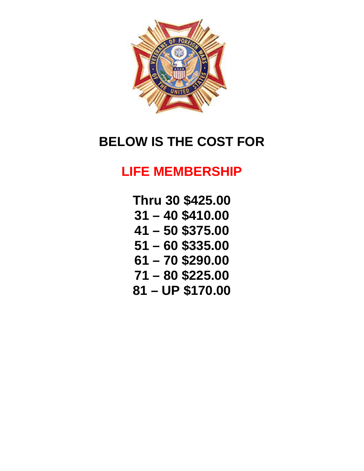

# **BELOW IS THE COST FOR**

# **LIFE MEMBERSHIP**

**Thru 30 \$425.00 31 – 40 \$410.00 41 – 50 \$375.00 51 – 60 \$335.00 61 – 70 \$290.00 71 – 80 \$225.00 81 – UP \$170.00**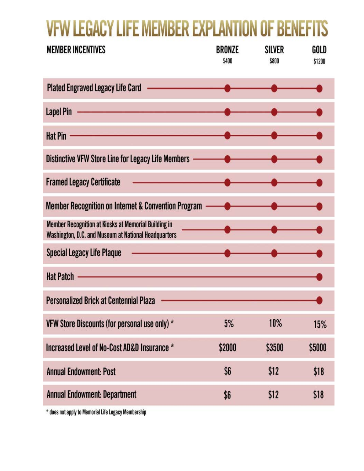# **VFW LEGACY LIFE MEMBER EXPLANTION OF BENEFITS**

| BRONZE<br>\$400                                                                                                                                                                                                                      | SILVER<br>\$800 | GOLD<br>\$1200 |
|--------------------------------------------------------------------------------------------------------------------------------------------------------------------------------------------------------------------------------------|-----------------|----------------|
|                                                                                                                                                                                                                                      |                 |                |
|                                                                                                                                                                                                                                      |                 |                |
|                                                                                                                                                                                                                                      |                 |                |
| Distinctive VFW Store Line for Legacy Life Members ——————                                                                                                                                                                            |                 |                |
| <u> Alexandria (Carlos Carlos Carlos Carlos Carlos Carlos Carlos Carlos Carlos Carlos Carlos Carlos Carlos Carlos Carlos Carlos Carlos Carlos Carlos Carlos Carlos Carlos Carlos Carlos Carlos Carlos Carlos Carlos Carlos Carlo</u> |                 |                |
|                                                                                                                                                                                                                                      |                 |                |
|                                                                                                                                                                                                                                      |                 |                |
|                                                                                                                                                                                                                                      |                 |                |
| <u> De Barbara (1989), estados en la propia de la propia de la propia de la propia de la propia de la propia de l</u>                                                                                                                |                 |                |
|                                                                                                                                                                                                                                      |                 |                |
| 5%                                                                                                                                                                                                                                   | 10%             | 15%            |
| \$2000                                                                                                                                                                                                                               | \$3500          | \$5000         |
| \$6                                                                                                                                                                                                                                  | \$12            | \$18           |
| \$6                                                                                                                                                                                                                                  | \$12            | \$18           |
|                                                                                                                                                                                                                                      |                 |                |

\* does not apply to Memorial Life Legacy Membership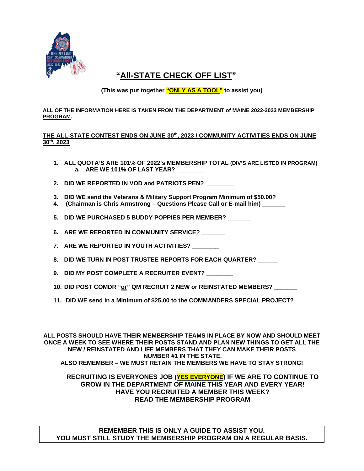

### **"All-STATE CHECK OFF LIST"**

**(This was put together "ONLY AS A TOOL" to assist you)** 

#### **ALL OF THE INFORMATION HERE IS TAKEN FROM THE DEPARTMENT of MAINE 2022-2023 MEMBERSHIP PROGRAM.**

#### **THE ALL-STATE CONTEST ENDS ON JUNE 30th, 2023 / COMMUNITY ACTIVITIES ENDS ON JUNE 30th, 2023**

- **1. ALL QUOTA'S ARE 101% OF 2022's MEMBERSHIP TOTAL (DIV'S ARE LISTED IN PROGRAM) a. ARE WE 101% OF LAST YEAR? \_\_\_\_\_\_\_\_**
- 2. DID WE REPORTED IN VOD and PATRIOTS PEN?
- **3. DID WE send the Veterans & Military Support Program Minimum of \$50.00?**
- **4. (Chairman is Chris Armstrong Questions Please Call or E-mail him) \_\_\_\_\_\_\_**
- **5. DID WE PURCHASED 5 BUDDY POPPIES PER MEMBER? \_\_\_\_\_\_\_**
- 6. ARE WE REPORTED IN COMMUNITY SERVICE?
- **7. ARE WE REPORTED IN YOUTH ACTIVITIES? \_\_\_\_\_\_\_\_**
- **8. DID WE TURN IN POST TRUSTEE REPORTS FOR EACH QUARTER? \_\_\_\_\_\_**
- **9. DID MY POST COMPLETE A RECRUITER EVENT?**
- **10. DID POST COMDR "or" QM RECRUIT 2 NEW or REINSTATED MEMBERS? \_\_\_\_\_\_\_**
- **11. DID WE send in a Minimum of \$25.00 to the COMMANDERS SPECIAL PROJECT? \_\_\_\_\_\_\_**

**ALL POSTS SHOULD HAVE THEIR MEMBERSHIP TEAMS IN PLACE BY NOW AND SHOULD MEET ONCE A WEEK TO SEE WHERE THEIR POSTS STAND AND PLAN NEW THINGS TO GET ALL THE NEW / REINSTATED AND LIFE MEMBERS THAT THEY CAN MAKE THEIR POSTS NUMBER #1 IN THE STATE. ALSO REMEMBER – WE MUST RETAIN THE MEMBERS WE HAVE TO STAY STRONG!** 

#### **RECRUITING IS EVERYONES JOB (YES EVERYONE) IF WE ARE TO CONTINUE TO GROW IN THE DEPARTMENT OF MAINE THIS YEAR AND EVERY YEAR! HAVE YOU RECRUITED A MEMBER THIS WEEK? READ THE MEMBERSHIP PROGRAM**

**REMEMBER THIS IS ONLY A GUIDE TO ASSIST YOU. YOU MUST STILL STUDY THE MEMBERSHIP PROGRAM ON A REGULAR BASIS.**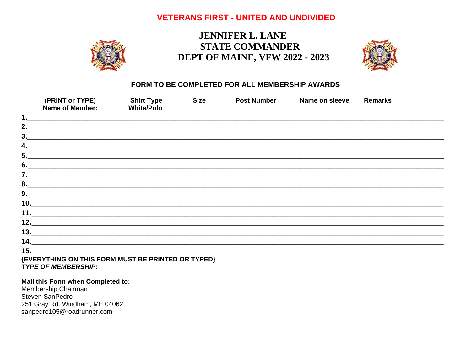#### **VETERANS FIRST - UNITED AND UNDIVIDED**



## **JENNIFER L. LANE STATE COMMANDER DEPT OF MAINE, VFW 2022 - 2023**



#### FORM TO BE COMPLETED FOR ALL MEMBERSHIP AWARDS

|     | (PRINT or TYPE)<br><b>Name of Member:</b>                                                                             | <b>Shirt Type</b><br><b>White/Polo</b>                                           | <b>Size</b> | <b>Post Number</b> | Name on sleeve | <b>Remarks</b> |
|-----|-----------------------------------------------------------------------------------------------------------------------|----------------------------------------------------------------------------------|-------------|--------------------|----------------|----------------|
| 1.  |                                                                                                                       |                                                                                  |             |                    |                |                |
| 2.  |                                                                                                                       | ,我们也不能在这里,我们也不能会在这里,我们也不能会在这里,我们也不能会在这里,我们也不能会在这里,我们也不能会不能会不能会。""我们,我们也不能会不能会不能会 |             |                    |                |                |
|     |                                                                                                                       |                                                                                  |             |                    |                |                |
| 4.  | <u> 1989 - Jan Barat, martin dan bertakun dalam bertama dalam bertama dalam bertama dalam bertama dalam bertama d</u> |                                                                                  |             |                    |                |                |
|     |                                                                                                                       |                                                                                  |             |                    |                |                |
|     |                                                                                                                       |                                                                                  |             |                    |                |                |
|     |                                                                                                                       |                                                                                  |             |                    |                |                |
|     |                                                                                                                       |                                                                                  |             |                    |                |                |
|     |                                                                                                                       |                                                                                  |             |                    |                |                |
|     |                                                                                                                       |                                                                                  |             |                    |                |                |
|     |                                                                                                                       |                                                                                  |             |                    |                |                |
|     | 12.                                                                                                                   |                                                                                  |             |                    |                |                |
|     | $13.$ $\overline{\phantom{a}}$                                                                                        |                                                                                  |             |                    |                |                |
|     |                                                                                                                       |                                                                                  |             |                    |                |                |
| 15. |                                                                                                                       |                                                                                  |             |                    |                |                |
|     | (FVERYTHING ON THIS FORM MUST BE PRINTED OR TYPED).                                                                   |                                                                                  |             |                    |                |                |

#### ) FORM MUST BE PRINT TYPE OF MEMBERSHIP:

#### Mail this Form when Completed to:

Membership Chairman Steven SanPedro 251 Gray Rd. Windham, ME 04062 sanpedro105@roadrunner.com